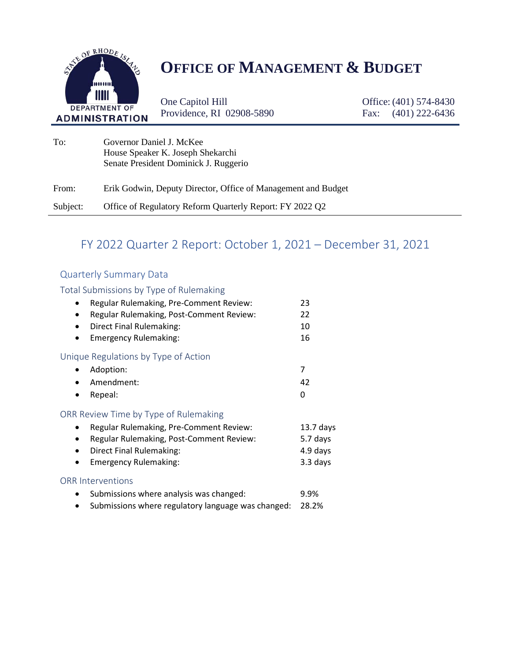

# **OFFICE OF MANAGEMENT & BUDGET**

One Capitol Hill Providence, RI 02908-5890

Office: (401) 574-8430 Fax: (401) 222-6436

To: Governor Daniel J. McKee House Speaker K. Joseph Shekarchi Senate President Dominick J. Ruggerio From: Erik Godwin, Deputy Director, Office of Management and Budget Subject: Office of Regulatory Reform Quarterly Report: FY 2022 Q2

# FY 2022 Quarter 2 Report: October 1, 2021 – December 31, 2021

#### Quarterly Summary Data

| Total Submissions by Type of Rulemaking            |             |
|----------------------------------------------------|-------------|
| Regular Rulemaking, Pre-Comment Review:            | 23          |
| Regular Rulemaking, Post-Comment Review:           | 22          |
| Direct Final Rulemaking:                           | 10          |
| <b>Emergency Rulemaking:</b>                       | 16          |
| Unique Regulations by Type of Action               |             |
| Adoption:                                          | 7           |
| Amendment:                                         | 42          |
| Repeal:                                            | O           |
| ORR Review Time by Type of Rulemaking              |             |
| Regular Rulemaking, Pre-Comment Review:            | $13.7$ days |
| Regular Rulemaking, Post-Comment Review:           | 5.7 days    |
| Direct Final Rulemaking:                           | 4.9 days    |
| <b>Emergency Rulemaking:</b>                       | 3.3 days    |
| <b>ORR</b> Interventions                           |             |
| Submissions where analysis was changed:            | 9.9%        |
| Submissions where regulatory language was changed: | 28.2%       |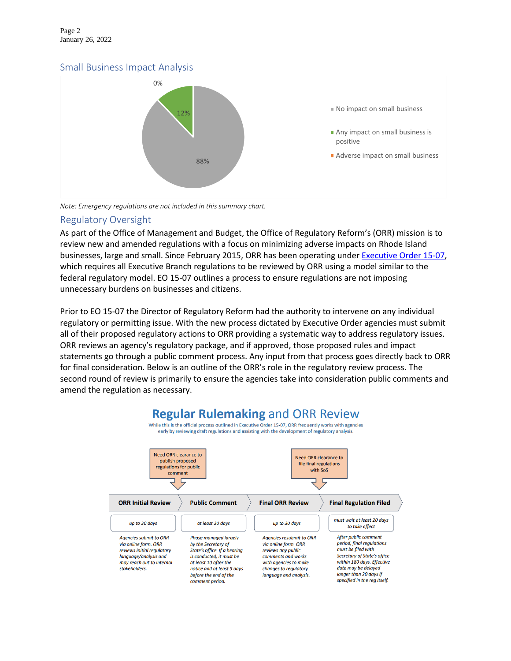## Small Business Impact Analysis



*Note: Emergency regulations are not included in this summary chart.*

## Regulatory Oversight

As part of the Office of Management and Budget, the Office of Regulatory Reform's (ORR) mission is to review new and amended regulations with a focus on minimizing adverse impacts on Rhode Island businesses, large and small. Since February 2015, ORR has been operating unde[r Executive Order 15-07,](http://www.omb.ri.gov/documents/reform/regulatory-review/07_Regulatory_Climate.pdf) which requires all Executive Branch regulations to be reviewed by ORR using a model similar to the federal regulatory model. EO 15-07 outlines a process to ensure regulations are not imposing unnecessary burdens on businesses and citizens.

Prior to EO 15-07 the Director of Regulatory Reform had the authority to intervene on any individual regulatory or permitting issue. With the new process dictated by Executive Order agencies must submit all of their proposed regulatory actions to ORR providing a systematic way to address regulatory issues. ORR reviews an agency's regulatory package, and if approved, those proposed rules and impact statements go through a public comment process. Any input from that process goes directly back to ORR for final consideration. Below is an outline of the ORR's role in the regulatory review process. The second round of review is primarily to ensure the agencies take into consideration public comments and amend the regulation as necessary.

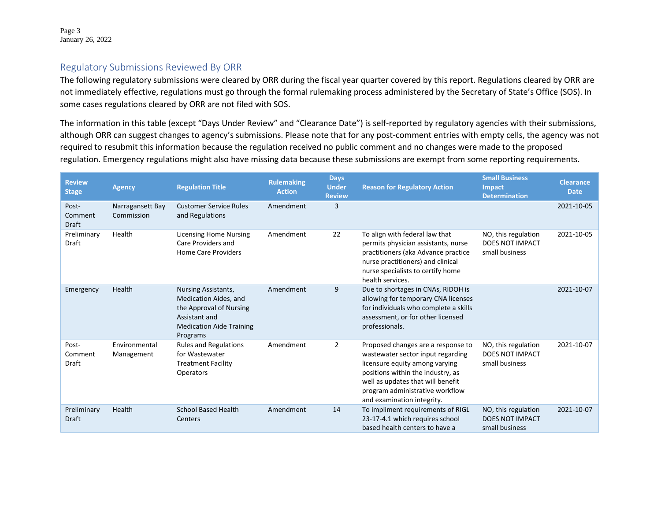Page 3 January 26, 2022

#### Regulatory Submissions Reviewed By ORR

The following regulatory submissions were cleared by ORR during the fiscal year quarter covered by this report. Regulations cleared by ORR are not immediately effective, regulations must go through the formal rulemaking process administered by the Secretary of State's Office (SOS). In some cases regulations cleared by ORR are not filed with SOS.

The information in this table (except "Days Under Review" and "Clearance Date") is self-reported by regulatory agencies with their submissions, although ORR can suggest changes to agency's submissions. Please note that for any post-comment entries with empty cells, the agency was not required to resubmit this information because the regulation received no public comment and no changes were made to the proposed regulation. Emergency regulations might also have missing data because these submissions are exempt from some reporting requirements.

| <b>Review</b><br><b>Stage</b> | <b>Agency</b>                  | <b>Regulation Title</b>                                                                                                                               | <b>Rulemaking</b><br><b>Action</b> | <b>Days</b><br><b>Under</b><br><b>Review</b> | <b>Reason for Regulatory Action</b>                                                                                                                                                                                                                  | <b>Small Business</b><br>Impact<br><b>Determination</b>         | <b>Clearance</b><br><b>Date</b> |
|-------------------------------|--------------------------------|-------------------------------------------------------------------------------------------------------------------------------------------------------|------------------------------------|----------------------------------------------|------------------------------------------------------------------------------------------------------------------------------------------------------------------------------------------------------------------------------------------------------|-----------------------------------------------------------------|---------------------------------|
| Post-<br>Comment<br>Draft     | Narragansett Bay<br>Commission | <b>Customer Service Rules</b><br>and Regulations                                                                                                      | Amendment                          | 3                                            |                                                                                                                                                                                                                                                      |                                                                 | 2021-10-05                      |
| Preliminary<br>Draft          | Health                         | <b>Licensing Home Nursing</b><br>Care Providers and<br><b>Home Care Providers</b>                                                                     | Amendment                          | 22                                           | To align with federal law that<br>permits physician assistants, nurse<br>practitioners (aka Advance practice<br>nurse practitioners) and clinical<br>nurse specialists to certify home<br>health services.                                           | NO, this regulation<br><b>DOES NOT IMPACT</b><br>small business | 2021-10-05                      |
| Emergency                     | Health                         | <b>Nursing Assistants,</b><br><b>Medication Aides, and</b><br>the Approval of Nursing<br>Assistant and<br><b>Medication Aide Training</b><br>Programs | Amendment                          | 9                                            | Due to shortages in CNAs, RIDOH is<br>allowing for temporary CNA licenses<br>for individuals who complete a skills<br>assessment, or for other licensed<br>professionals.                                                                            |                                                                 | 2021-10-07                      |
| Post-<br>Comment<br>Draft     | Environmental<br>Management    | <b>Rules and Regulations</b><br>for Wastewater<br><b>Treatment Facility</b><br>Operators                                                              | Amendment                          | $\overline{2}$                               | Proposed changes are a response to<br>wastewater sector input regarding<br>licensure equity among varying<br>positions within the industry, as<br>well as updates that will benefit<br>program administrative workflow<br>and examination integrity. | NO, this regulation<br><b>DOES NOT IMPACT</b><br>small business | 2021-10-07                      |
| Preliminary<br>Draft          | Health                         | <b>School Based Health</b><br>Centers                                                                                                                 | Amendment                          | 14                                           | To impliment requirements of RIGL<br>23-17-4.1 which requires school<br>based health centers to have a                                                                                                                                               | NO, this regulation<br><b>DOES NOT IMPACT</b><br>small business | 2021-10-07                      |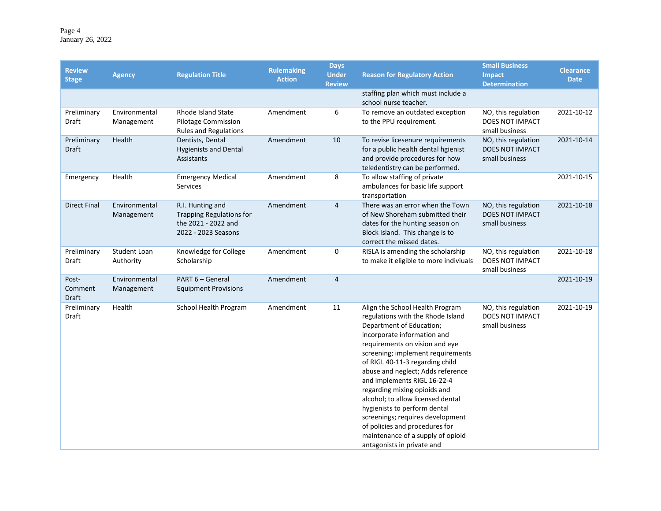| <b>Review</b><br><b>Stage</b>    | <b>Agency</b>               | <b>Regulation Title</b>                                                                           | <b>Rulemaking</b><br><b>Action</b> | <b>Days</b><br><b>Under</b><br><b>Review</b> | <b>Reason for Regulatory Action</b>                                                                                                                                                                                                                                                                                                                                                                                                                                                                                                                         | <b>Small Business</b><br><b>Impact</b><br><b>Determination</b>  | <b>Clearance</b><br><b>Date</b> |
|----------------------------------|-----------------------------|---------------------------------------------------------------------------------------------------|------------------------------------|----------------------------------------------|-------------------------------------------------------------------------------------------------------------------------------------------------------------------------------------------------------------------------------------------------------------------------------------------------------------------------------------------------------------------------------------------------------------------------------------------------------------------------------------------------------------------------------------------------------------|-----------------------------------------------------------------|---------------------------------|
|                                  |                             |                                                                                                   |                                    |                                              | staffing plan which must include a<br>school nurse teacher.                                                                                                                                                                                                                                                                                                                                                                                                                                                                                                 |                                                                 |                                 |
| Preliminary<br>Draft             | Environmental<br>Management | Rhode Island State<br><b>Pilotage Commission</b><br><b>Rules and Regulations</b>                  | Amendment                          | 6                                            | To remove an outdated exception<br>to the PPU requirement.                                                                                                                                                                                                                                                                                                                                                                                                                                                                                                  | NO, this regulation<br>DOES NOT IMPACT<br>small business        | 2021-10-12                      |
| Preliminary<br><b>Draft</b>      | Health                      | Dentists, Dental<br><b>Hygienists and Dental</b><br>Assistants                                    | Amendment                          | 10                                           | To revise licesenure requirements<br>for a public health dental hgienist<br>and provide procedures for how<br>teledentistry can be performed.                                                                                                                                                                                                                                                                                                                                                                                                               | NO, this regulation<br>DOES NOT IMPACT<br>small business        | 2021-10-14                      |
| Emergency                        | Health                      | <b>Emergency Medical</b><br>Services                                                              | Amendment                          | 8                                            | To allow staffing of private<br>ambulances for basic life support<br>transportation                                                                                                                                                                                                                                                                                                                                                                                                                                                                         |                                                                 | 2021-10-15                      |
| <b>Direct Final</b>              | Environmental<br>Management | R.I. Hunting and<br><b>Trapping Regulations for</b><br>the 2021 - 2022 and<br>2022 - 2023 Seasons | Amendment                          | $\overline{4}$                               | There was an error when the Town<br>of New Shoreham submitted their<br>dates for the hunting season on<br>Block Island. This change is to<br>correct the missed dates.                                                                                                                                                                                                                                                                                                                                                                                      | NO, this regulation<br><b>DOES NOT IMPACT</b><br>small business | 2021-10-18                      |
| Preliminary<br>Draft             | Student Loan<br>Authority   | Knowledge for College<br>Scholarship                                                              | Amendment                          | 0                                            | RISLA is amending the scholarship<br>to make it eligible to more indiviuals                                                                                                                                                                                                                                                                                                                                                                                                                                                                                 | NO, this regulation<br>DOES NOT IMPACT<br>small business        | 2021-10-18                      |
| Post-<br>Comment<br><b>Draft</b> | Environmental<br>Management | PART 6 – General<br><b>Equipment Provisions</b>                                                   | Amendment                          | $\overline{4}$                               |                                                                                                                                                                                                                                                                                                                                                                                                                                                                                                                                                             |                                                                 | 2021-10-19                      |
| Preliminary<br>Draft             | Health                      | School Health Program                                                                             | Amendment                          | 11                                           | Align the School Health Program<br>regulations with the Rhode Island<br>Department of Education;<br>incorporate information and<br>requirements on vision and eye<br>screening; implement requirements<br>of RIGL 40-11-3 regarding child<br>abuse and neglect; Adds reference<br>and implements RIGL 16-22-4<br>regarding mixing opioids and<br>alcohol; to allow licensed dental<br>hygienists to perform dental<br>screenings; requires development<br>of policies and procedures for<br>maintenance of a supply of opioid<br>antagonists in private and | NO, this regulation<br>DOES NOT IMPACT<br>small business        | 2021-10-19                      |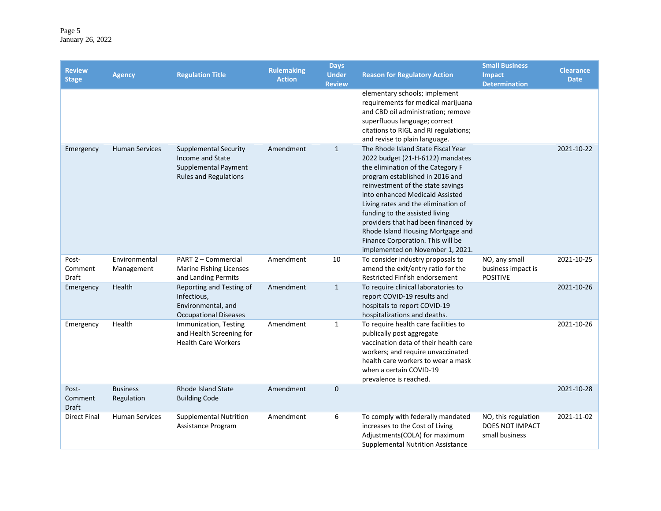Page 5 January 26, 2022

| <b>Review</b><br><b>Stage</b>    | <b>Agency</b>                 | <b>Regulation Title</b>                                                                                  | <b>Rulemaking</b><br><b>Action</b> | <b>Days</b><br><b>Under</b><br><b>Review</b> | <b>Reason for Regulatory Action</b>                                                                                                                                                                                                                                                                                                                                                                                                                  | <b>Small Business</b><br>Impact<br><b>Determination</b>         | <b>Clearance</b><br><b>Date</b> |
|----------------------------------|-------------------------------|----------------------------------------------------------------------------------------------------------|------------------------------------|----------------------------------------------|------------------------------------------------------------------------------------------------------------------------------------------------------------------------------------------------------------------------------------------------------------------------------------------------------------------------------------------------------------------------------------------------------------------------------------------------------|-----------------------------------------------------------------|---------------------------------|
|                                  |                               |                                                                                                          |                                    |                                              | elementary schools; implement<br>requirements for medical marijuana<br>and CBD oil administration; remove<br>superfluous language; correct<br>citations to RIGL and RI regulations;<br>and revise to plain language.                                                                                                                                                                                                                                 |                                                                 |                                 |
| Emergency                        | <b>Human Services</b>         | <b>Supplemental Security</b><br>Income and State<br>Supplemental Payment<br><b>Rules and Regulations</b> | Amendment                          | $\mathbf{1}$                                 | The Rhode Island State Fiscal Year<br>2022 budget (21-H-6122) mandates<br>the elimination of the Category F<br>program established in 2016 and<br>reinvestment of the state savings<br>into enhanced Medicaid Assisted<br>Living rates and the elimination of<br>funding to the assisted living<br>providers that had been financed by<br>Rhode Island Housing Mortgage and<br>Finance Corporation. This will be<br>implemented on November 1, 2021. |                                                                 | 2021-10-22                      |
| Post-<br>Comment<br><b>Draft</b> | Environmental<br>Management   | PART 2 - Commercial<br><b>Marine Fishing Licenses</b><br>and Landing Permits                             | Amendment                          | 10                                           | To consider industry proposals to<br>amend the exit/entry ratio for the<br>Restricted Finfish endorsement                                                                                                                                                                                                                                                                                                                                            | NO, any small<br>business impact is<br><b>POSITIVE</b>          | 2021-10-25                      |
| Emergency                        | Health                        | Reporting and Testing of<br>Infectious,<br>Environmental, and<br><b>Occupational Diseases</b>            | Amendment                          | $\mathbf{1}$                                 | To require clinical laboratories to<br>report COVID-19 results and<br>hospitals to report COVID-19<br>hospitalizations and deaths.                                                                                                                                                                                                                                                                                                                   |                                                                 | 2021-10-26                      |
| Emergency                        | Health                        | Immunization, Testing<br>and Health Screening for<br><b>Health Care Workers</b>                          | Amendment                          | $\mathbf{1}$                                 | To require health care facilities to<br>publically post aggregate<br>vaccination data of their health care<br>workers; and require unvaccinated<br>health care workers to wear a mask<br>when a certain COVID-19<br>prevalence is reached.                                                                                                                                                                                                           |                                                                 | 2021-10-26                      |
| Post-<br>Comment<br><b>Draft</b> | <b>Business</b><br>Regulation | <b>Rhode Island State</b><br><b>Building Code</b>                                                        | Amendment                          | $\mathbf 0$                                  |                                                                                                                                                                                                                                                                                                                                                                                                                                                      |                                                                 | 2021-10-28                      |
| Direct Final                     | <b>Human Services</b>         | <b>Supplemental Nutrition</b><br>Assistance Program                                                      | Amendment                          | 6                                            | To comply with federally mandated<br>increases to the Cost of Living<br>Adjustments(COLA) for maximum<br><b>Supplemental Nutrition Assistance</b>                                                                                                                                                                                                                                                                                                    | NO, this regulation<br><b>DOES NOT IMPACT</b><br>small business | 2021-11-02                      |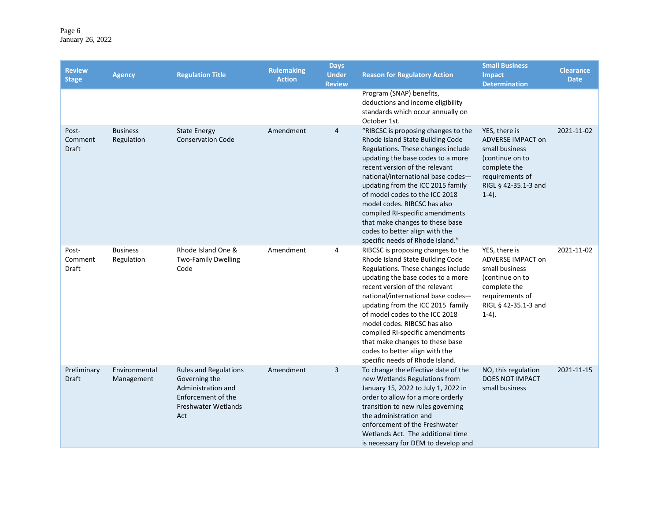Page 6 January 26, 2022

| <b>Review</b><br><b>Stage</b>    | <b>Agency</b>                 | <b>Regulation Title</b>                                                                                                 | <b>Rulemaking</b><br><b>Action</b> | <b>Days</b><br><b>Under</b><br><b>Review</b> | <b>Reason for Regulatory Action</b>                                                                                                                                                                                                                                                                                                                                                                                                                                           | <b>Small Business</b><br>Impact<br><b>Determination</b>                                                                                               | <b>Clearance</b><br><b>Date</b> |
|----------------------------------|-------------------------------|-------------------------------------------------------------------------------------------------------------------------|------------------------------------|----------------------------------------------|-------------------------------------------------------------------------------------------------------------------------------------------------------------------------------------------------------------------------------------------------------------------------------------------------------------------------------------------------------------------------------------------------------------------------------------------------------------------------------|-------------------------------------------------------------------------------------------------------------------------------------------------------|---------------------------------|
|                                  |                               |                                                                                                                         |                                    |                                              | Program (SNAP) benefits,<br>deductions and income eligibility<br>standards which occur annually on<br>October 1st.                                                                                                                                                                                                                                                                                                                                                            |                                                                                                                                                       |                                 |
| Post-<br>Comment<br><b>Draft</b> | <b>Business</b><br>Regulation | <b>State Energy</b><br><b>Conservation Code</b>                                                                         | Amendment                          | 4                                            | "RIBCSC is proposing changes to the<br>Rhode Island State Building Code<br>Regulations. These changes include<br>updating the base codes to a more<br>recent version of the relevant<br>national/international base codes-<br>updating from the ICC 2015 family<br>of model codes to the ICC 2018<br>model codes. RIBCSC has also<br>compiled RI-specific amendments<br>that make changes to these base<br>codes to better align with the<br>specific needs of Rhode Island." | YES, there is<br><b>ADVERSE IMPACT on</b><br>small business<br>(continue on to<br>complete the<br>requirements of<br>RIGL § 42-35.1-3 and<br>$1-4$ ). | 2021-11-02                      |
| Post-<br>Comment<br>Draft        | <b>Business</b><br>Regulation | Rhode Island One &<br><b>Two-Family Dwelling</b><br>Code                                                                | Amendment                          | 4                                            | RIBCSC is proposing changes to the<br>Rhode Island State Building Code<br>Regulations. These changes include<br>updating the base codes to a more<br>recent version of the relevant<br>national/international base codes-<br>updating from the ICC 2015 family<br>of model codes to the ICC 2018<br>model codes. RIBCSC has also<br>compiled RI-specific amendments<br>that make changes to these base<br>codes to better align with the<br>specific needs of Rhode Island.   | YES, there is<br>ADVERSE IMPACT on<br>small business<br>(continue on to<br>complete the<br>requirements of<br>RIGL § 42-35.1-3 and<br>$1-4$ ).        | 2021-11-02                      |
| Preliminary<br><b>Draft</b>      | Environmental<br>Management   | <b>Rules and Regulations</b><br>Governing the<br>Administration and<br>Enforcement of the<br>Freshwater Wetlands<br>Act | Amendment                          | $\overline{3}$                               | To change the effective date of the<br>new Wetlands Regulations from<br>January 15, 2022 to July 1, 2022 in<br>order to allow for a more orderly<br>transition to new rules governing<br>the administration and<br>enforcement of the Freshwater<br>Wetlands Act. The additional time<br>is necessary for DEM to develop and                                                                                                                                                  | NO, this regulation<br><b>DOES NOT IMPACT</b><br>small business                                                                                       | 2021-11-15                      |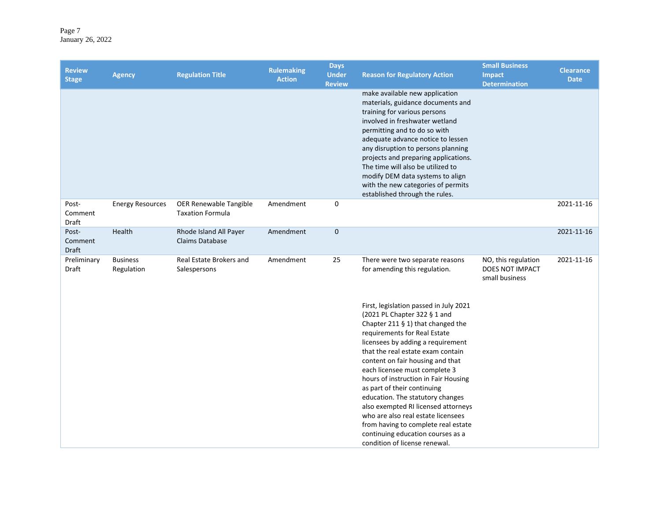| <b>Review</b><br><b>Stage</b>    | <b>Agency</b>                 | <b>Regulation Title</b>                           | <b>Rulemaking</b><br><b>Action</b> | <b>Days</b><br><b>Under</b><br><b>Review</b> | <b>Reason for Regulatory Action</b>                                                                                                                                                                                                                                                                                                                                                                                                                                                                                                                                                             | <b>Small Business</b><br><b>Impact</b><br><b>Determination</b>  | <b>Clearance</b><br><b>Date</b> |
|----------------------------------|-------------------------------|---------------------------------------------------|------------------------------------|----------------------------------------------|-------------------------------------------------------------------------------------------------------------------------------------------------------------------------------------------------------------------------------------------------------------------------------------------------------------------------------------------------------------------------------------------------------------------------------------------------------------------------------------------------------------------------------------------------------------------------------------------------|-----------------------------------------------------------------|---------------------------------|
|                                  |                               |                                                   |                                    |                                              | make available new application<br>materials, guidance documents and<br>training for various persons<br>involved in freshwater wetland<br>permitting and to do so with<br>adequate advance notice to lessen<br>any disruption to persons planning<br>projects and preparing applications.<br>The time will also be utilized to<br>modify DEM data systems to align<br>with the new categories of permits<br>established through the rules.                                                                                                                                                       |                                                                 |                                 |
| Post-<br>Comment<br>Draft        | <b>Energy Resources</b>       | OER Renewable Tangible<br><b>Taxation Formula</b> | Amendment                          | 0                                            |                                                                                                                                                                                                                                                                                                                                                                                                                                                                                                                                                                                                 |                                                                 | 2021-11-16                      |
| Post-<br>Comment<br><b>Draft</b> | Health                        | Rhode Island All Payer<br>Claims Database         | Amendment                          | $\mathbf 0$                                  |                                                                                                                                                                                                                                                                                                                                                                                                                                                                                                                                                                                                 |                                                                 | 2021-11-16                      |
| Preliminary<br>Draft             | <b>Business</b><br>Regulation | Real Estate Brokers and<br>Salespersons           | Amendment                          | 25                                           | There were two separate reasons<br>for amending this regulation.                                                                                                                                                                                                                                                                                                                                                                                                                                                                                                                                | NO, this regulation<br><b>DOES NOT IMPACT</b><br>small business | 2021-11-16                      |
|                                  |                               |                                                   |                                    |                                              | First, legislation passed in July 2021<br>(2021 PL Chapter 322 § 1 and<br>Chapter 211 § 1) that changed the<br>requirements for Real Estate<br>licensees by adding a requirement<br>that the real estate exam contain<br>content on fair housing and that<br>each licensee must complete 3<br>hours of instruction in Fair Housing<br>as part of their continuing<br>education. The statutory changes<br>also exempted RI licensed attorneys<br>who are also real estate licensees<br>from having to complete real estate<br>continuing education courses as a<br>condition of license renewal. |                                                                 |                                 |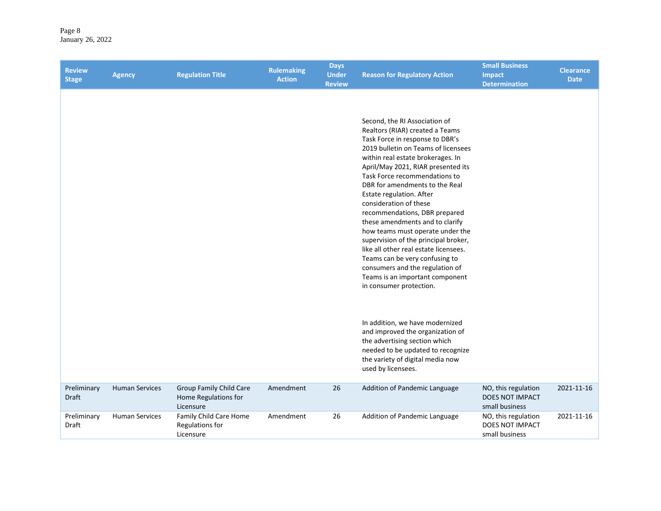| <b>Review</b><br><b>Stage</b> | <b>Agency</b>         | <b>Regulation Title</b>                                      | <b>Rulemaking</b><br><b>Action</b> | <b>Days</b><br><b>Under</b><br><b>Review</b> | <b>Reason for Regulatory Action</b>                                                                                                                                                                                                                                                                                                                                                                                                                                                                                                                                                                                                                                        | <b>Small Business</b><br><b>Impact</b><br><b>Determination</b>  | <b>Clearance</b><br><b>Date</b> |
|-------------------------------|-----------------------|--------------------------------------------------------------|------------------------------------|----------------------------------------------|----------------------------------------------------------------------------------------------------------------------------------------------------------------------------------------------------------------------------------------------------------------------------------------------------------------------------------------------------------------------------------------------------------------------------------------------------------------------------------------------------------------------------------------------------------------------------------------------------------------------------------------------------------------------------|-----------------------------------------------------------------|---------------------------------|
|                               |                       |                                                              |                                    |                                              | Second, the RI Association of<br>Realtors (RIAR) created a Teams<br>Task Force in response to DBR's<br>2019 bulletin on Teams of licensees<br>within real estate brokerages. In<br>April/May 2021, RIAR presented its<br>Task Force recommendations to<br>DBR for amendments to the Real<br>Estate regulation. After<br>consideration of these<br>recommendations, DBR prepared<br>these amendments and to clarify<br>how teams must operate under the<br>supervision of the principal broker,<br>like all other real estate licensees.<br>Teams can be very confusing to<br>consumers and the regulation of<br>Teams is an important component<br>in consumer protection. |                                                                 |                                 |
|                               |                       |                                                              |                                    |                                              | In addition, we have modernized<br>and improved the organization of<br>the advertising section which<br>needed to be updated to recognize<br>the variety of digital media now<br>used by licensees.                                                                                                                                                                                                                                                                                                                                                                                                                                                                        |                                                                 |                                 |
| Preliminary<br><b>Draft</b>   | <b>Human Services</b> | Group Family Child Care<br>Home Regulations for<br>Licensure | Amendment                          | 26                                           | Addition of Pandemic Language                                                                                                                                                                                                                                                                                                                                                                                                                                                                                                                                                                                                                                              | NO, this regulation<br><b>DOES NOT IMPACT</b><br>small business | 2021-11-16                      |
| Preliminary<br>Draft          | <b>Human Services</b> | Family Child Care Home<br>Regulations for<br>Licensure       | Amendment                          | 26                                           | Addition of Pandemic Language                                                                                                                                                                                                                                                                                                                                                                                                                                                                                                                                                                                                                                              | NO, this regulation<br>DOES NOT IMPACT<br>small business        | 2021-11-16                      |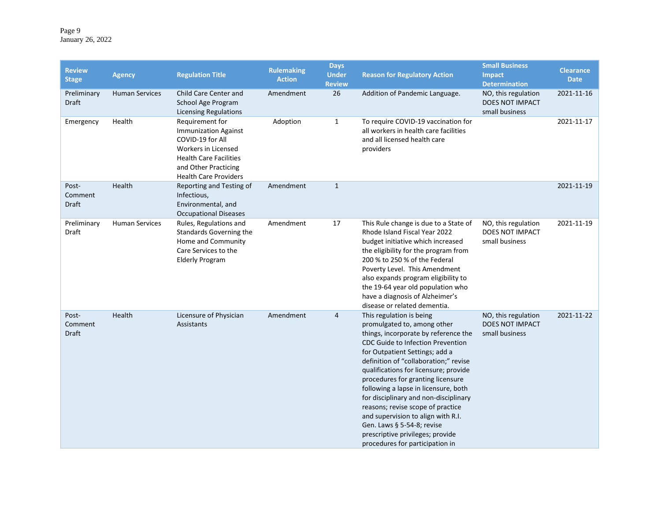| <b>Review</b><br><b>Stage</b>    | <b>Agency</b>         | <b>Regulation Title</b>                                                                                                                                                            | <b>Rulemaking</b><br><b>Action</b> | <b>Days</b><br><b>Under</b><br><b>Review</b> | <b>Reason for Regulatory Action</b>                                                                                                                                                                                                                                                                                                                                                                                                                                                                                                                                   | <b>Small Business</b><br><b>Impact</b><br><b>Determination</b>  | <b>Clearance</b><br><b>Date</b> |
|----------------------------------|-----------------------|------------------------------------------------------------------------------------------------------------------------------------------------------------------------------------|------------------------------------|----------------------------------------------|-----------------------------------------------------------------------------------------------------------------------------------------------------------------------------------------------------------------------------------------------------------------------------------------------------------------------------------------------------------------------------------------------------------------------------------------------------------------------------------------------------------------------------------------------------------------------|-----------------------------------------------------------------|---------------------------------|
| Preliminary<br>Draft             | <b>Human Services</b> | Child Care Center and<br>School Age Program<br><b>Licensing Regulations</b>                                                                                                        | Amendment                          | 26                                           | Addition of Pandemic Language.                                                                                                                                                                                                                                                                                                                                                                                                                                                                                                                                        | NO, this regulation<br><b>DOES NOT IMPACT</b><br>small business | 2021-11-16                      |
| Emergency                        | Health                | Requirement for<br><b>Immunization Against</b><br>COVID-19 for All<br>Workers in Licensed<br><b>Health Care Facilities</b><br>and Other Practicing<br><b>Health Care Providers</b> | Adoption                           | $\mathbf{1}$                                 | To require COVID-19 vaccination for<br>all workers in health care facilities<br>and all licensed health care<br>providers                                                                                                                                                                                                                                                                                                                                                                                                                                             |                                                                 | 2021-11-17                      |
| Post-<br>Comment<br><b>Draft</b> | Health                | Reporting and Testing of<br>Infectious,<br>Environmental, and<br><b>Occupational Diseases</b>                                                                                      | Amendment                          | $\mathbf{1}$                                 |                                                                                                                                                                                                                                                                                                                                                                                                                                                                                                                                                                       |                                                                 | 2021-11-19                      |
| Preliminary<br>Draft             | <b>Human Services</b> | Rules, Regulations and<br>Standards Governing the<br>Home and Community<br>Care Services to the<br><b>Elderly Program</b>                                                          | Amendment                          | 17                                           | This Rule change is due to a State of<br>Rhode Island Fiscal Year 2022<br>budget initiative which increased<br>the eligibility for the program from<br>200 % to 250 % of the Federal<br>Poverty Level. This Amendment<br>also expands program eligibility to<br>the 19-64 year old population who<br>have a diagnosis of Alzheimer's<br>disease or related dementia.                                                                                                                                                                                                  | NO, this regulation<br>DOES NOT IMPACT<br>small business        | 2021-11-19                      |
| Post-<br>Comment<br><b>Draft</b> | Health                | Licensure of Physician<br>Assistants                                                                                                                                               | Amendment                          | 4                                            | This regulation is being<br>promulgated to, among other<br>things, incorporate by reference the<br><b>CDC Guide to Infection Prevention</b><br>for Outpatient Settings; add a<br>definition of "collaboration;" revise<br>qualifications for licensure; provide<br>procedures for granting licensure<br>following a lapse in licensure, both<br>for disciplinary and non-disciplinary<br>reasons; revise scope of practice<br>and supervision to align with R.I.<br>Gen. Laws § 5-54-8; revise<br>prescriptive privileges; provide<br>procedures for participation in | NO, this regulation<br><b>DOES NOT IMPACT</b><br>small business | 2021-11-22                      |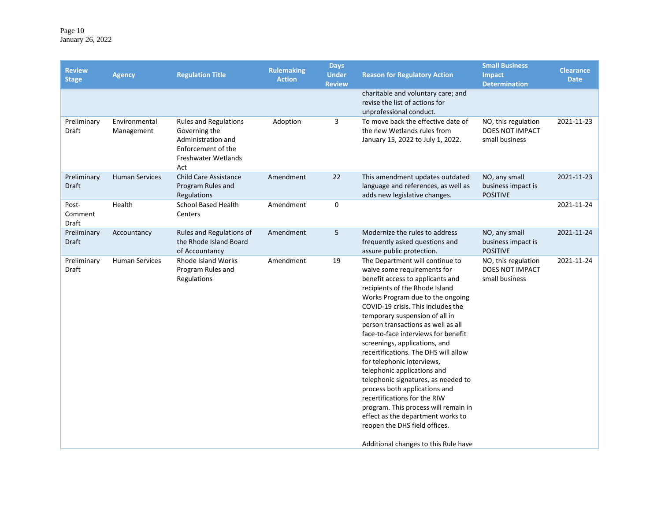Page 10 January 26, 2022

| <b>Review</b><br><b>Stage</b> | <b>Agency</b>               | <b>Regulation Title</b>                                                                                                 | <b>Rulemaking</b><br><b>Action</b> | <b>Days</b><br><b>Under</b><br><b>Review</b> | <b>Reason for Regulatory Action</b>                                                                                                                                                                                                                                                                                                                                                                                                                                                                                                                                                                                                                                                       | <b>Small Business</b><br><b>Impact</b><br><b>Determination</b> | <b>Clearance</b><br><b>Date</b> |
|-------------------------------|-----------------------------|-------------------------------------------------------------------------------------------------------------------------|------------------------------------|----------------------------------------------|-------------------------------------------------------------------------------------------------------------------------------------------------------------------------------------------------------------------------------------------------------------------------------------------------------------------------------------------------------------------------------------------------------------------------------------------------------------------------------------------------------------------------------------------------------------------------------------------------------------------------------------------------------------------------------------------|----------------------------------------------------------------|---------------------------------|
|                               |                             |                                                                                                                         |                                    |                                              | charitable and voluntary care; and<br>revise the list of actions for<br>unprofessional conduct.                                                                                                                                                                                                                                                                                                                                                                                                                                                                                                                                                                                           |                                                                |                                 |
| Preliminary<br>Draft          | Environmental<br>Management | <b>Rules and Regulations</b><br>Governing the<br>Administration and<br>Enforcement of the<br>Freshwater Wetlands<br>Act | Adoption                           | 3                                            | To move back the effective date of<br>the new Wetlands rules from<br>January 15, 2022 to July 1, 2022.                                                                                                                                                                                                                                                                                                                                                                                                                                                                                                                                                                                    | NO, this regulation<br>DOES NOT IMPACT<br>small business       | 2021-11-23                      |
| Preliminary<br><b>Draft</b>   | <b>Human Services</b>       | <b>Child Care Assistance</b><br>Program Rules and<br>Regulations                                                        | Amendment                          | 22                                           | This amendment updates outdated<br>language and references, as well as<br>adds new legislative changes.                                                                                                                                                                                                                                                                                                                                                                                                                                                                                                                                                                                   | NO, any small<br>business impact is<br><b>POSITIVE</b>         | 2021-11-23                      |
| Post-<br>Comment<br>Draft     | Health                      | <b>School Based Health</b><br>Centers                                                                                   | Amendment                          | 0                                            |                                                                                                                                                                                                                                                                                                                                                                                                                                                                                                                                                                                                                                                                                           |                                                                | 2021-11-24                      |
| Preliminary<br><b>Draft</b>   | Accountancy                 | Rules and Regulations of<br>the Rhode Island Board<br>of Accountancy                                                    | Amendment                          | $5\phantom{.}$                               | Modernize the rules to address<br>frequently asked questions and<br>assure public protection.                                                                                                                                                                                                                                                                                                                                                                                                                                                                                                                                                                                             | NO, any small<br>business impact is<br><b>POSITIVE</b>         | 2021-11-24                      |
| Preliminary<br>Draft          | <b>Human Services</b>       | <b>Rhode Island Works</b><br>Program Rules and<br>Regulations                                                           | Amendment                          | 19                                           | The Department will continue to<br>waive some requirements for<br>benefit access to applicants and<br>recipients of the Rhode Island<br>Works Program due to the ongoing<br>COVID-19 crisis. This includes the<br>temporary suspension of all in<br>person transactions as well as all<br>face-to-face interviews for benefit<br>screenings, applications, and<br>recertifications. The DHS will allow<br>for telephonic interviews,<br>telephonic applications and<br>telephonic signatures, as needed to<br>process both applications and<br>recertifications for the RIW<br>program. This process will remain in<br>effect as the department works to<br>reopen the DHS field offices. | NO, this regulation<br>DOES NOT IMPACT<br>small business       | 2021-11-24                      |
|                               |                             |                                                                                                                         |                                    |                                              | Additional changes to this Rule have                                                                                                                                                                                                                                                                                                                                                                                                                                                                                                                                                                                                                                                      |                                                                |                                 |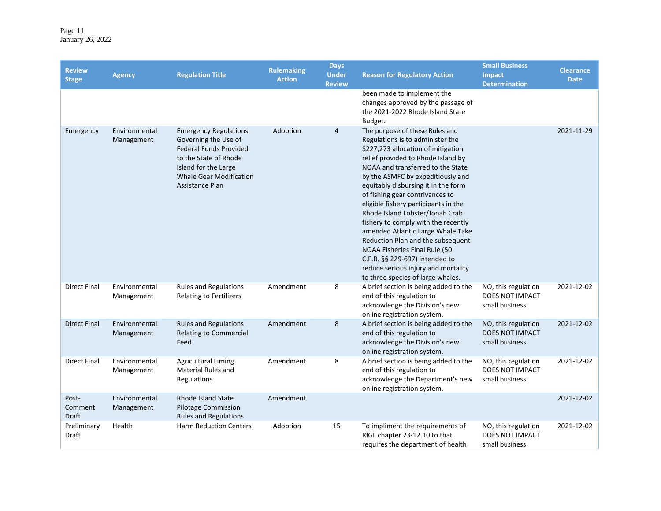Page 11 January 26, 2022

| <b>Review</b><br><b>Stage</b>    | <b>Agency</b>               | <b>Regulation Title</b>                                                                                                                                                                     | <b>Rulemaking</b><br><b>Action</b> | <b>Days</b><br><b>Under</b><br><b>Review</b> | <b>Reason for Regulatory Action</b>                                                                                                                                                                                                                                                                                                                                                                                                                                                                                                                                                                                                           | <b>Small Business</b><br><b>Impact</b><br><b>Determination</b>  | <b>Clearance</b><br><b>Date</b> |
|----------------------------------|-----------------------------|---------------------------------------------------------------------------------------------------------------------------------------------------------------------------------------------|------------------------------------|----------------------------------------------|-----------------------------------------------------------------------------------------------------------------------------------------------------------------------------------------------------------------------------------------------------------------------------------------------------------------------------------------------------------------------------------------------------------------------------------------------------------------------------------------------------------------------------------------------------------------------------------------------------------------------------------------------|-----------------------------------------------------------------|---------------------------------|
|                                  |                             |                                                                                                                                                                                             |                                    |                                              | been made to implement the<br>changes approved by the passage of<br>the 2021-2022 Rhode Island State<br>Budget.                                                                                                                                                                                                                                                                                                                                                                                                                                                                                                                               |                                                                 |                                 |
| Emergency                        | Environmental<br>Management | <b>Emergency Regulations</b><br>Governing the Use of<br><b>Federal Funds Provided</b><br>to the State of Rhode<br>Island for the Large<br><b>Whale Gear Modification</b><br>Assistance Plan | Adoption                           | $\overline{4}$                               | The purpose of these Rules and<br>Regulations is to administer the<br>\$227,273 allocation of mitigation<br>relief provided to Rhode Island by<br>NOAA and transferred to the State<br>by the ASMFC by expeditiously and<br>equitably disbursing it in the form<br>of fishing gear contrivances to<br>eligible fishery participants in the<br>Rhode Island Lobster/Jonah Crab<br>fishery to comply with the recently<br>amended Atlantic Large Whale Take<br>Reduction Plan and the subsequent<br>NOAA Fisheries Final Rule (50<br>C.F.R. §§ 229-697) intended to<br>reduce serious injury and mortality<br>to three species of large whales. |                                                                 | 2021-11-29                      |
| <b>Direct Final</b>              | Environmental<br>Management | <b>Rules and Regulations</b><br><b>Relating to Fertilizers</b>                                                                                                                              | Amendment                          | 8                                            | A brief section is being added to the<br>end of this regulation to<br>acknowledge the Division's new<br>online registration system.                                                                                                                                                                                                                                                                                                                                                                                                                                                                                                           | NO, this regulation<br>DOES NOT IMPACT<br>small business        | 2021-12-02                      |
| <b>Direct Final</b>              | Environmental<br>Management | <b>Rules and Regulations</b><br><b>Relating to Commercial</b><br>Feed                                                                                                                       | Amendment                          | 8                                            | A brief section is being added to the<br>end of this regulation to<br>acknowledge the Division's new<br>online registration system.                                                                                                                                                                                                                                                                                                                                                                                                                                                                                                           | NO, this regulation<br>DOES NOT IMPACT<br>small business        | 2021-12-02                      |
| <b>Direct Final</b>              | Environmental<br>Management | <b>Agricultural Liming</b><br><b>Material Rules and</b><br>Regulations                                                                                                                      | Amendment                          | 8                                            | A brief section is being added to the<br>end of this regulation to<br>acknowledge the Department's new<br>online registration system.                                                                                                                                                                                                                                                                                                                                                                                                                                                                                                         | NO, this regulation<br>DOES NOT IMPACT<br>small business        | 2021-12-02                      |
| Post-<br>Comment<br><b>Draft</b> | Environmental<br>Management | <b>Rhode Island State</b><br><b>Pilotage Commission</b><br><b>Rules and Regulations</b>                                                                                                     | Amendment                          |                                              |                                                                                                                                                                                                                                                                                                                                                                                                                                                                                                                                                                                                                                               |                                                                 | 2021-12-02                      |
| Preliminary<br>Draft             | Health                      | <b>Harm Reduction Centers</b>                                                                                                                                                               | Adoption                           | 15                                           | To impliment the requirements of<br>RIGL chapter 23-12.10 to that<br>requires the department of health                                                                                                                                                                                                                                                                                                                                                                                                                                                                                                                                        | NO, this regulation<br><b>DOES NOT IMPACT</b><br>small business | 2021-12-02                      |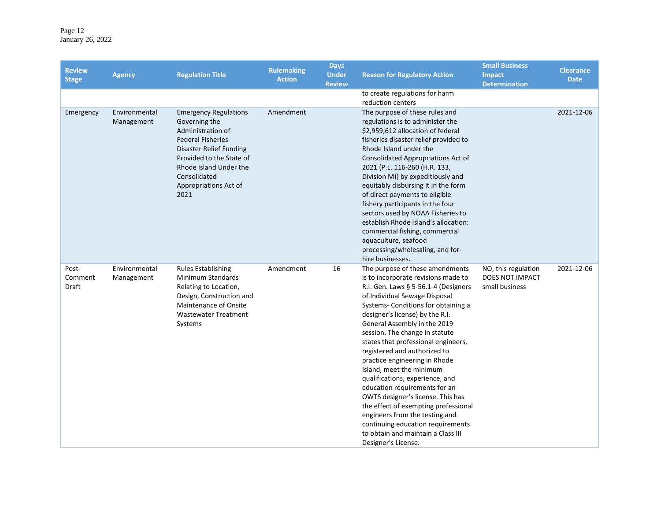Page 12 January 26, 2022

| <b>Review</b><br><b>Stage</b> | <b>Agency</b>               | <b>Regulation Title</b>                                                                                                                                                                                                                 | <b>Rulemaking</b><br><b>Action</b> | <b>Days</b><br><b>Under</b><br><b>Review</b> | <b>Reason for Regulatory Action</b>                                                                                                                                                                                                                                                                                                                                                                                                                                                                                                                                                                                                                                                                                  | <b>Small Business</b><br>Impact<br><b>Determination</b>  | <b>Clearance</b><br><b>Date</b> |
|-------------------------------|-----------------------------|-----------------------------------------------------------------------------------------------------------------------------------------------------------------------------------------------------------------------------------------|------------------------------------|----------------------------------------------|----------------------------------------------------------------------------------------------------------------------------------------------------------------------------------------------------------------------------------------------------------------------------------------------------------------------------------------------------------------------------------------------------------------------------------------------------------------------------------------------------------------------------------------------------------------------------------------------------------------------------------------------------------------------------------------------------------------------|----------------------------------------------------------|---------------------------------|
|                               |                             |                                                                                                                                                                                                                                         |                                    |                                              | to create regulations for harm<br>reduction centers                                                                                                                                                                                                                                                                                                                                                                                                                                                                                                                                                                                                                                                                  |                                                          |                                 |
| Emergency                     | Environmental<br>Management | <b>Emergency Regulations</b><br>Governing the<br>Administration of<br><b>Federal Fisheries</b><br><b>Disaster Relief Funding</b><br>Provided to the State of<br>Rhode Island Under the<br>Consolidated<br>Appropriations Act of<br>2021 | Amendment                          |                                              | The purpose of these rules and<br>regulations is to administer the<br>\$2,959,612 allocation of federal<br>fisheries disaster relief provided to<br>Rhode Island under the<br>Consolidated Appropriations Act of<br>2021 (P.L. 116-260 (H.R. 133,<br>Division M)) by expeditiously and<br>equitably disbursing it in the form<br>of direct payments to eligible<br>fishery participants in the four<br>sectors used by NOAA Fisheries to<br>establish Rhode Island's allocation:<br>commercial fishing, commercial<br>aquaculture, seafood<br>processing/wholesaling, and for-<br>hire businesses.                                                                                                                   |                                                          | 2021-12-06                      |
| Post-<br>Comment<br>Draft     | Environmental<br>Management | <b>Rules Establishing</b><br>Minimum Standards<br>Relating to Location,<br>Design, Construction and<br>Maintenance of Onsite<br><b>Wastewater Treatment</b><br>Systems                                                                  | Amendment                          | 16                                           | The purpose of these amendments<br>is to incorporate revisions made to<br>R.I. Gen. Laws § 5-56.1-4 (Designers<br>of Individual Sewage Disposal<br>Systems- Conditions for obtaining a<br>designer's license) by the R.I.<br>General Assembly in the 2019<br>session. The change in statute<br>states that professional engineers,<br>registered and authorized to<br>practice engineering in Rhode<br>Island, meet the minimum<br>qualifications, experience, and<br>education requirements for an<br>OWTS designer's license. This has<br>the effect of exempting professional<br>engineers from the testing and<br>continuing education requirements<br>to obtain and maintain a Class III<br>Designer's License. | NO, this regulation<br>DOES NOT IMPACT<br>small business | 2021-12-06                      |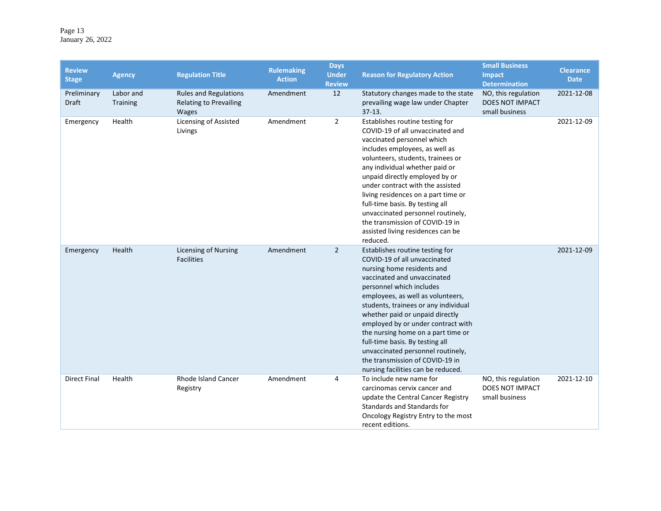Page 13 January 26, 2022

| <b>Review</b><br><b>Stage</b> | Agency                       | <b>Regulation Title</b>                                                       | <b>Rulemaking</b><br><b>Action</b> | <b>Days</b><br><b>Under</b><br><b>Review</b> | <b>Reason for Regulatory Action</b>                                                                                                                                                                                                                                                                                                                                                                                                                                                                   | <b>Small Business</b><br>Impact<br><b>Determination</b>         | <b>Clearance</b><br><b>Date</b> |
|-------------------------------|------------------------------|-------------------------------------------------------------------------------|------------------------------------|----------------------------------------------|-------------------------------------------------------------------------------------------------------------------------------------------------------------------------------------------------------------------------------------------------------------------------------------------------------------------------------------------------------------------------------------------------------------------------------------------------------------------------------------------------------|-----------------------------------------------------------------|---------------------------------|
| Preliminary<br><b>Draft</b>   | Labor and<br><b>Training</b> | <b>Rules and Regulations</b><br><b>Relating to Prevailing</b><br><b>Wages</b> | Amendment                          | 12                                           | Statutory changes made to the state<br>prevailing wage law under Chapter<br>$37-13.$                                                                                                                                                                                                                                                                                                                                                                                                                  | NO, this regulation<br><b>DOES NOT IMPACT</b><br>small business | 2021-12-08                      |
| Emergency                     | Health                       | Licensing of Assisted<br>Livings                                              | Amendment                          | $\overline{2}$                               | Establishes routine testing for<br>COVID-19 of all unvaccinated and<br>vaccinated personnel which<br>includes employees, as well as<br>volunteers, students, trainees or<br>any individual whether paid or<br>unpaid directly employed by or<br>under contract with the assisted<br>living residences on a part time or<br>full-time basis. By testing all<br>unvaccinated personnel routinely,<br>the transmission of COVID-19 in<br>assisted living residences can be<br>reduced.                   |                                                                 | 2021-12-09                      |
| Emergency                     | Health                       | <b>Licensing of Nursing</b><br><b>Facilities</b>                              | Amendment                          | $\overline{2}$                               | Establishes routine testing for<br>COVID-19 of all unvaccinated<br>nursing home residents and<br>vaccinated and unvaccinated<br>personnel which includes<br>employees, as well as volunteers,<br>students, trainees or any individual<br>whether paid or unpaid directly<br>employed by or under contract with<br>the nursing home on a part time or<br>full-time basis. By testing all<br>unvaccinated personnel routinely,<br>the transmission of COVID-19 in<br>nursing facilities can be reduced. |                                                                 | 2021-12-09                      |
| <b>Direct Final</b>           | Health                       | <b>Rhode Island Cancer</b><br>Registry                                        | Amendment                          | 4                                            | To include new name for<br>carcinomas cervix cancer and<br>update the Central Cancer Registry<br>Standards and Standards for<br>Oncology Registry Entry to the most<br>recent editions.                                                                                                                                                                                                                                                                                                               | NO, this regulation<br>DOES NOT IMPACT<br>small business        | 2021-12-10                      |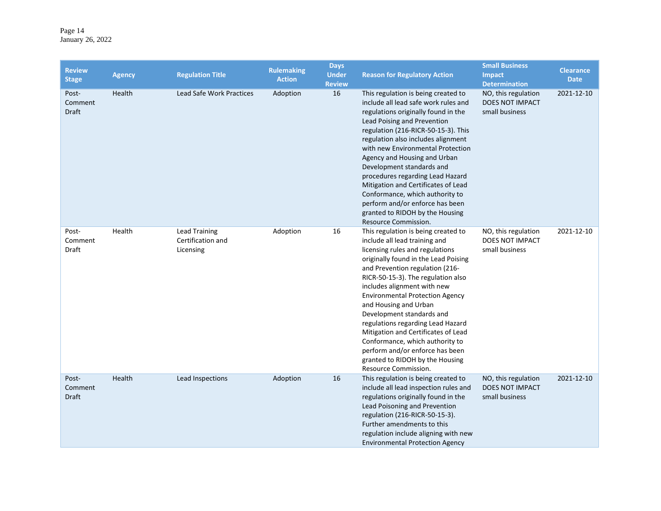Page 14 January 26, 2022

| <b>Review</b><br><b>Stage</b>    | Agency | <b>Regulation Title</b>                                | <b>Rulemaking</b><br><b>Action</b> | <b>Days</b><br><b>Under</b><br><b>Review</b> | <b>Reason for Regulatory Action</b>                                                                                                                                                                                                                                                                                                                                                                                                                                                                                                                                  | <b>Small Business</b><br><b>Impact</b><br><b>Determination</b>  | <b>Clearance</b><br><b>Date</b> |
|----------------------------------|--------|--------------------------------------------------------|------------------------------------|----------------------------------------------|----------------------------------------------------------------------------------------------------------------------------------------------------------------------------------------------------------------------------------------------------------------------------------------------------------------------------------------------------------------------------------------------------------------------------------------------------------------------------------------------------------------------------------------------------------------------|-----------------------------------------------------------------|---------------------------------|
| Post-<br>Comment<br><b>Draft</b> | Health | <b>Lead Safe Work Practices</b>                        | Adoption                           | 16                                           | This regulation is being created to<br>include all lead safe work rules and<br>regulations originally found in the<br>Lead Poising and Prevention<br>regulation (216-RICR-50-15-3). This<br>regulation also includes alignment<br>with new Environmental Protection<br>Agency and Housing and Urban<br>Development standards and<br>procedures regarding Lead Hazard<br>Mitigation and Certificates of Lead<br>Conformance, which authority to<br>perform and/or enforce has been<br>granted to RIDOH by the Housing<br>Resource Commission.                         | NO, this regulation<br>DOES NOT IMPACT<br>small business        | 2021-12-10                      |
| Post-<br>Comment<br>Draft        | Health | <b>Lead Training</b><br>Certification and<br>Licensing | Adoption                           | 16                                           | This regulation is being created to<br>include all lead training and<br>licensing rules and regulations<br>originally found in the Lead Poising<br>and Prevention regulation (216-<br>RICR-50-15-3). The regulation also<br>includes alignment with new<br><b>Environmental Protection Agency</b><br>and Housing and Urban<br>Development standards and<br>regulations regarding Lead Hazard<br>Mitigation and Certificates of Lead<br>Conformance, which authority to<br>perform and/or enforce has been<br>granted to RIDOH by the Housing<br>Resource Commission. | NO, this regulation<br>DOES NOT IMPACT<br>small business        | 2021-12-10                      |
| Post-<br>Comment<br><b>Draft</b> | Health | Lead Inspections                                       | Adoption                           | 16                                           | This regulation is being created to<br>include all lead inspection rules and<br>regulations originally found in the<br>Lead Poisoning and Prevention<br>regulation (216-RICR-50-15-3).<br>Further amendments to this<br>regulation include aligning with new<br><b>Environmental Protection Agency</b>                                                                                                                                                                                                                                                               | NO, this regulation<br><b>DOES NOT IMPACT</b><br>small business | 2021-12-10                      |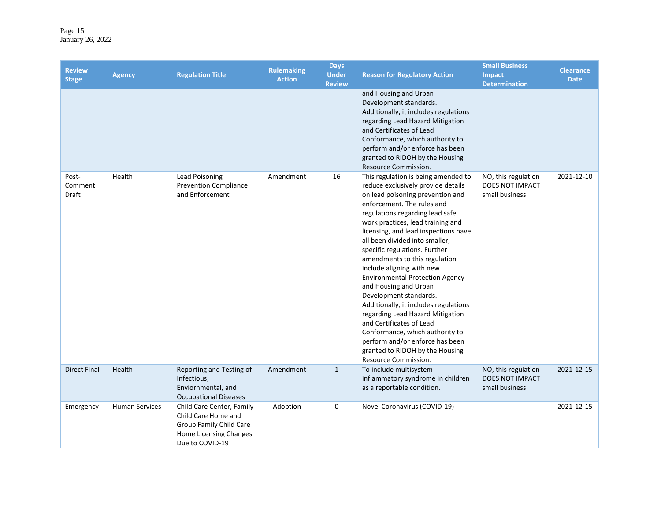Page 15 January 26, 2022

| <b>Review</b><br><b>Stage</b> | Agency                | <b>Regulation Title</b>                                                                                                         | <b>Rulemaking</b><br><b>Action</b> | <b>Days</b><br><b>Under</b><br><b>Review</b> | <b>Reason for Regulatory Action</b>                                                                                                                                                                                                                                                                                                                                                                                                                                                                                                                                                                                                                                                                                                 | <b>Small Business</b><br><b>Impact</b><br><b>Determination</b>  | <b>Clearance</b><br><b>Date</b> |
|-------------------------------|-----------------------|---------------------------------------------------------------------------------------------------------------------------------|------------------------------------|----------------------------------------------|-------------------------------------------------------------------------------------------------------------------------------------------------------------------------------------------------------------------------------------------------------------------------------------------------------------------------------------------------------------------------------------------------------------------------------------------------------------------------------------------------------------------------------------------------------------------------------------------------------------------------------------------------------------------------------------------------------------------------------------|-----------------------------------------------------------------|---------------------------------|
|                               |                       |                                                                                                                                 |                                    |                                              | and Housing and Urban<br>Development standards.<br>Additionally, it includes regulations<br>regarding Lead Hazard Mitigation<br>and Certificates of Lead<br>Conformance, which authority to<br>perform and/or enforce has been<br>granted to RIDOH by the Housing<br>Resource Commission.                                                                                                                                                                                                                                                                                                                                                                                                                                           |                                                                 |                                 |
| Post-<br>Comment<br>Draft     | Health                | Lead Poisoning<br><b>Prevention Compliance</b><br>and Enforcement                                                               | Amendment                          | 16                                           | This regulation is being amended to<br>reduce exclusively provide details<br>on lead poisoning prevention and<br>enforcement. The rules and<br>regulations regarding lead safe<br>work practices, lead training and<br>licensing, and lead inspections have<br>all been divided into smaller,<br>specific regulations. Further<br>amendments to this regulation<br>include aligning with new<br><b>Environmental Protection Agency</b><br>and Housing and Urban<br>Development standards.<br>Additionally, it includes regulations<br>regarding Lead Hazard Mitigation<br>and Certificates of Lead<br>Conformance, which authority to<br>perform and/or enforce has been<br>granted to RIDOH by the Housing<br>Resource Commission. | NO, this regulation<br>DOES NOT IMPACT<br>small business        | 2021-12-10                      |
| <b>Direct Final</b>           | Health                | Reporting and Testing of<br>Infectious,<br>Enviornmental, and<br><b>Occupational Diseases</b>                                   | Amendment                          | $\mathbf{1}$                                 | To include multisystem<br>inflammatory syndrome in children<br>as a reportable condition.                                                                                                                                                                                                                                                                                                                                                                                                                                                                                                                                                                                                                                           | NO, this regulation<br><b>DOES NOT IMPACT</b><br>small business | 2021-12-15                      |
| Emergency                     | <b>Human Services</b> | Child Care Center, Family<br>Child Care Home and<br>Group Family Child Care<br><b>Home Licensing Changes</b><br>Due to COVID-19 | Adoption                           | 0                                            | Novel Coronavirus (COVID-19)                                                                                                                                                                                                                                                                                                                                                                                                                                                                                                                                                                                                                                                                                                        |                                                                 | 2021-12-15                      |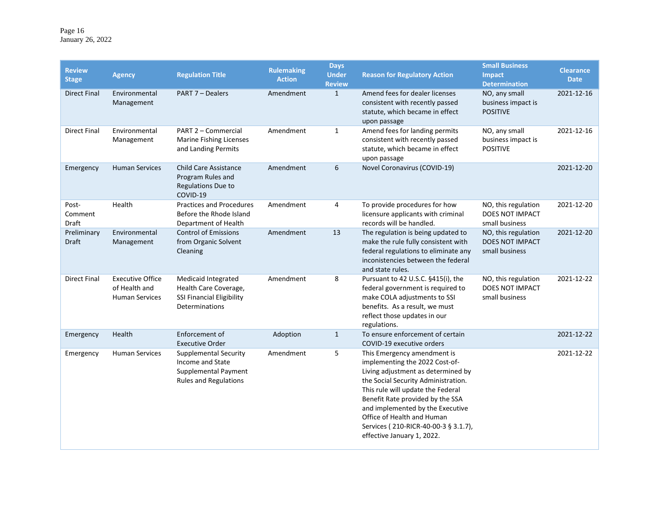| <b>Review</b><br><b>Stage</b> | <b>Agency</b>                                                     | <b>Regulation Title</b>                                                                                  | <b>Rulemaking</b><br><b>Action</b> | <b>Days</b><br><b>Under</b><br><b>Review</b> | <b>Reason for Regulatory Action</b>                                                                                                                                                                                                                                                                                                                         | <b>Small Business</b><br><b>Impact</b><br><b>Determination</b>  | <b>Clearance</b><br><b>Date</b> |
|-------------------------------|-------------------------------------------------------------------|----------------------------------------------------------------------------------------------------------|------------------------------------|----------------------------------------------|-------------------------------------------------------------------------------------------------------------------------------------------------------------------------------------------------------------------------------------------------------------------------------------------------------------------------------------------------------------|-----------------------------------------------------------------|---------------------------------|
| <b>Direct Final</b>           | Environmental<br>Management                                       | PART 7 - Dealers                                                                                         | Amendment                          | $\mathbf{1}$                                 | Amend fees for dealer licenses<br>consistent with recently passed<br>statute, which became in effect<br>upon passage                                                                                                                                                                                                                                        | NO, any small<br>business impact is<br><b>POSITIVE</b>          | 2021-12-16                      |
| Direct Final                  | Environmental<br>Management                                       | PART 2 - Commercial<br><b>Marine Fishing Licenses</b><br>and Landing Permits                             | Amendment                          | $\mathbf{1}$                                 | Amend fees for landing permits<br>consistent with recently passed<br>statute, which became in effect<br>upon passage                                                                                                                                                                                                                                        | NO, any small<br>business impact is<br><b>POSITIVE</b>          | 2021-12-16                      |
| Emergency                     | <b>Human Services</b>                                             | <b>Child Care Assistance</b><br>Program Rules and<br>Regulations Due to<br>COVID-19                      | Amendment                          | 6                                            | Novel Coronavirus (COVID-19)                                                                                                                                                                                                                                                                                                                                |                                                                 | 2021-12-20                      |
| Post-<br>Comment<br>Draft     | Health                                                            | <b>Practices and Procedures</b><br>Before the Rhode Island<br>Department of Health                       | Amendment                          | 4                                            | To provide procedures for how<br>licensure applicants with criminal<br>records will be handled.                                                                                                                                                                                                                                                             | NO, this regulation<br>DOES NOT IMPACT<br>small business        | 2021-12-20                      |
| Preliminary<br><b>Draft</b>   | Environmental<br>Management                                       | <b>Control of Emissions</b><br>from Organic Solvent<br>Cleaning                                          | Amendment                          | 13                                           | The regulation is being updated to<br>make the rule fully consistent with<br>federal regulations to eliminate any<br>inconistencies between the federal<br>and state rules.                                                                                                                                                                                 | NO, this regulation<br><b>DOES NOT IMPACT</b><br>small business | 2021-12-20                      |
| <b>Direct Final</b>           | <b>Executive Office</b><br>of Health and<br><b>Human Services</b> | Medicaid Integrated<br>Health Care Coverage,<br><b>SSI Financial Eligibility</b><br>Determinations       | Amendment                          | 8                                            | Pursuant to 42 U.S.C. §415(i), the<br>federal government is required to<br>make COLA adjustments to SSI<br>benefits. As a result, we must<br>reflect those updates in our<br>regulations.                                                                                                                                                                   | NO, this regulation<br>DOES NOT IMPACT<br>small business        | 2021-12-22                      |
| Emergency                     | Health                                                            | Enforcement of<br><b>Executive Order</b>                                                                 | Adoption                           | $\mathbf{1}$                                 | To ensure enforcement of certain<br>COVID-19 executive orders                                                                                                                                                                                                                                                                                               |                                                                 | 2021-12-22                      |
| Emergency                     | <b>Human Services</b>                                             | <b>Supplemental Security</b><br>Income and State<br>Supplemental Payment<br><b>Rules and Regulations</b> | Amendment                          | 5                                            | This Emergency amendment is<br>implementing the 2022 Cost-of-<br>Living adjustment as determined by<br>the Social Security Administration.<br>This rule will update the Federal<br>Benefit Rate provided by the SSA<br>and implemented by the Executive<br>Office of Health and Human<br>Services (210-RICR-40-00-3 § 3.1.7),<br>effective January 1, 2022. |                                                                 | 2021-12-22                      |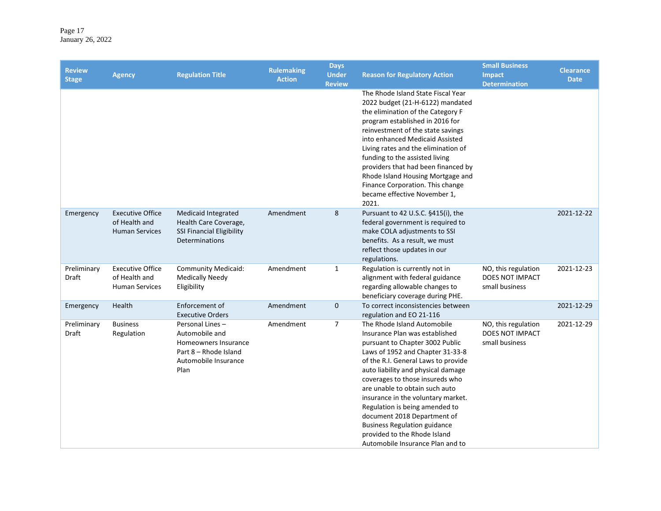| <b>Review</b><br><b>Stage</b> | <b>Agency</b>                                                     | <b>Regulation Title</b>                                                                                             | <b>Rulemaking</b><br><b>Action</b> | <b>Days</b><br><b>Under</b><br><b>Review</b> | <b>Reason for Regulatory Action</b>                                                                                                                                                                                                                                                                                                                                                                                                                                                                      | <b>Small Business</b><br><b>Impact</b><br><b>Determination</b> | <b>Clearance</b><br><b>Date</b> |
|-------------------------------|-------------------------------------------------------------------|---------------------------------------------------------------------------------------------------------------------|------------------------------------|----------------------------------------------|----------------------------------------------------------------------------------------------------------------------------------------------------------------------------------------------------------------------------------------------------------------------------------------------------------------------------------------------------------------------------------------------------------------------------------------------------------------------------------------------------------|----------------------------------------------------------------|---------------------------------|
|                               |                                                                   |                                                                                                                     |                                    |                                              | The Rhode Island State Fiscal Year<br>2022 budget (21-H-6122) mandated<br>the elimination of the Category F<br>program established in 2016 for<br>reinvestment of the state savings<br>into enhanced Medicaid Assisted<br>Living rates and the elimination of<br>funding to the assisted living<br>providers that had been financed by<br>Rhode Island Housing Mortgage and<br>Finance Corporation. This change<br>became effective November 1,<br>2021.                                                 |                                                                |                                 |
| Emergency                     | <b>Executive Office</b><br>of Health and<br><b>Human Services</b> | <b>Medicaid Integrated</b><br>Health Care Coverage,<br><b>SSI Financial Eligibility</b><br>Determinations           | Amendment                          | 8                                            | Pursuant to 42 U.S.C. §415(i), the<br>federal government is required to<br>make COLA adjustments to SSI<br>benefits. As a result, we must<br>reflect those updates in our<br>regulations.                                                                                                                                                                                                                                                                                                                |                                                                | 2021-12-22                      |
| Preliminary<br>Draft          | <b>Executive Office</b><br>of Health and<br><b>Human Services</b> | <b>Community Medicaid:</b><br><b>Medically Needy</b><br>Eligibility                                                 | Amendment                          | $\mathbf{1}$                                 | Regulation is currently not in<br>alignment with federal guidance<br>regarding allowable changes to<br>beneficiary coverage during PHE.                                                                                                                                                                                                                                                                                                                                                                  | NO, this regulation<br>DOES NOT IMPACT<br>small business       | 2021-12-23                      |
| Emergency                     | Health                                                            | Enforcement of<br><b>Executive Orders</b>                                                                           | Amendment                          | $\pmb{0}$                                    | To correct inconsistencies between<br>regulation and EO 21-116                                                                                                                                                                                                                                                                                                                                                                                                                                           |                                                                | 2021-12-29                      |
| Preliminary<br>Draft          | <b>Business</b><br>Regulation                                     | Personal Lines -<br>Automobile and<br>Homeowners Insurance<br>Part 8 - Rhode Island<br>Automobile Insurance<br>Plan | Amendment                          | $\overline{7}$                               | The Rhode Island Automobile<br>Insurance Plan was established<br>pursuant to Chapter 3002 Public<br>Laws of 1952 and Chapter 31-33-8<br>of the R.I. General Laws to provide<br>auto liability and physical damage<br>coverages to those insureds who<br>are unable to obtain such auto<br>insurance in the voluntary market.<br>Regulation is being amended to<br>document 2018 Department of<br><b>Business Regulation guidance</b><br>provided to the Rhode Island<br>Automobile Insurance Plan and to | NO, this regulation<br>DOES NOT IMPACT<br>small business       | 2021-12-29                      |